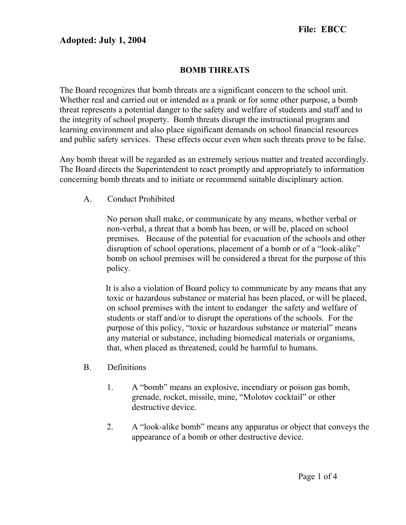## Adopted: July 1, 2004

## BOMB THREATS

The Board recognizes that bomb threats are a significant concern to the school unit. Whether real and carried out or intended as a prank or for some other purpose, a bomb threat represents a potential danger to the safety and welfare of students and staff and to the integrity of school property. Bomb threats disrupt the instructional program and learning environment and also place significant demands on school financial resources and public safety services. These effects occur even when such threats prove to be false.

Any bomb threat will be regarded as an extremely serious matter and treated accordingly. The Board directs the Superintendent to react promptly and appropriately to information concerning bomb threats and to initiate or recommend suitable disciplinary action.

A. Conduct Prohibited

No person shall make, or communicate by any means, whether verbal or non-verbal, a threat that a bomb has been, or will be, placed on school premises. Because of the potential for evacuation of the schools and other disruption of school operations, placement of a bomb or of a "look-alike" bomb on school premises will be considered a threat for the purpose of this policy.

 It is also a violation of Board policy to communicate by any means that any toxic or hazardous substance or material has been placed, or will be placed, on school premises with the intent to endanger the safety and welfare of students or staff and/or to disrupt the operations of the schools. For the purpose of this policy, "toxic or hazardous substance or material" means any material or substance, including biomedical materials or organisms, that, when placed as threatened, could be harmful to humans.

- B. Definitions
	- 1. A "bomb" means an explosive, incendiary or poison gas bomb, grenade, rocket, missile, mine, "Molotov cocktail" or other destructive device.
	- 2. A "look-alike bomb" means any apparatus or object that conveys the appearance of a bomb or other destructive device.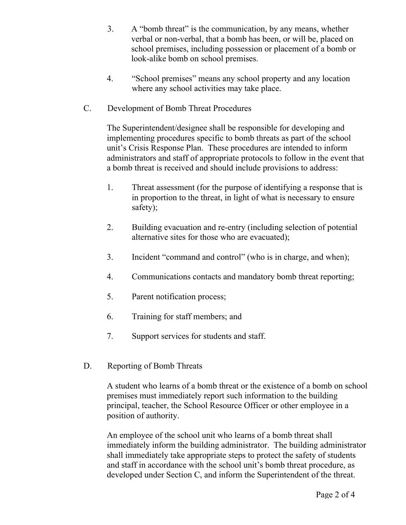- 3. A "bomb threat" is the communication, by any means, whether verbal or non-verbal, that a bomb has been, or will be, placed on school premises, including possession or placement of a bomb or look-alike bomb on school premises.
- 4. "School premises" means any school property and any location where any school activities may take place.
- C. Development of Bomb Threat Procedures

The Superintendent/designee shall be responsible for developing and implementing procedures specific to bomb threats as part of the school unit's Crisis Response Plan. These procedures are intended to inform administrators and staff of appropriate protocols to follow in the event that a bomb threat is received and should include provisions to address:

- 1. Threat assessment (for the purpose of identifying a response that is in proportion to the threat, in light of what is necessary to ensure safety);
- 2. Building evacuation and re-entry (including selection of potential alternative sites for those who are evacuated);
- 3. Incident "command and control" (who is in charge, and when);
- 4. Communications contacts and mandatory bomb threat reporting;
- 5. Parent notification process;
- 6. Training for staff members; and
- 7. Support services for students and staff.
- D. Reporting of Bomb Threats

A student who learns of a bomb threat or the existence of a bomb on school premises must immediately report such information to the building principal, teacher, the School Resource Officer or other employee in a position of authority.

An employee of the school unit who learns of a bomb threat shall immediately inform the building administrator. The building administrator shall immediately take appropriate steps to protect the safety of students and staff in accordance with the school unit's bomb threat procedure, as developed under Section C, and inform the Superintendent of the threat.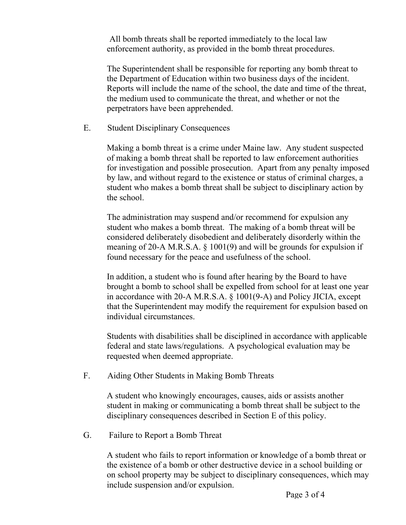All bomb threats shall be reported immediately to the local law enforcement authority, as provided in the bomb threat procedures.

The Superintendent shall be responsible for reporting any bomb threat to the Department of Education within two business days of the incident. Reports will include the name of the school, the date and time of the threat, the medium used to communicate the threat, and whether or not the perpetrators have been apprehended.

E. Student Disciplinary Consequences

Making a bomb threat is a crime under Maine law. Any student suspected of making a bomb threat shall be reported to law enforcement authorities for investigation and possible prosecution. Apart from any penalty imposed by law, and without regard to the existence or status of criminal charges, a student who makes a bomb threat shall be subject to disciplinary action by the school.

The administration may suspend and/or recommend for expulsion any student who makes a bomb threat. The making of a bomb threat will be considered deliberately disobedient and deliberately disorderly within the meaning of 20-A M.R.S.A. § 1001(9) and will be grounds for expulsion if found necessary for the peace and usefulness of the school.

In addition, a student who is found after hearing by the Board to have brought a bomb to school shall be expelled from school for at least one year in accordance with 20-A M.R.S.A. § 1001(9-A) and Policy JICIA, except that the Superintendent may modify the requirement for expulsion based on individual circumstances.

Students with disabilities shall be disciplined in accordance with applicable federal and state laws/regulations. A psychological evaluation may be requested when deemed appropriate.

F. Aiding Other Students in Making Bomb Threats

A student who knowingly encourages, causes, aids or assists another student in making or communicating a bomb threat shall be subject to the disciplinary consequences described in Section E of this policy.

G. Failure to Report a Bomb Threat

A student who fails to report information or knowledge of a bomb threat or the existence of a bomb or other destructive device in a school building or on school property may be subject to disciplinary consequences, which may include suspension and/or expulsion.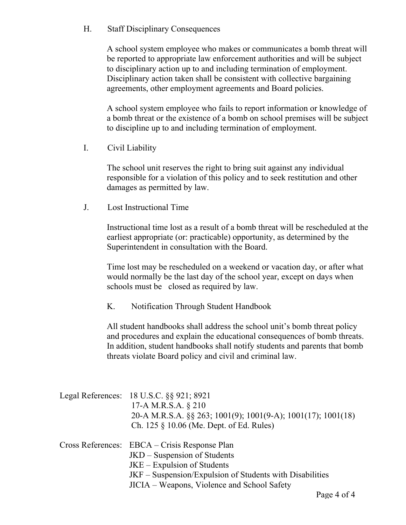H. Staff Disciplinary Consequences

A school system employee who makes or communicates a bomb threat will be reported to appropriate law enforcement authorities and will be subject to disciplinary action up to and including termination of employment. Disciplinary action taken shall be consistent with collective bargaining agreements, other employment agreements and Board policies.

A school system employee who fails to report information or knowledge of a bomb threat or the existence of a bomb on school premises will be subject to discipline up to and including termination of employment.

I. Civil Liability

The school unit reserves the right to bring suit against any individual responsible for a violation of this policy and to seek restitution and other damages as permitted by law.

J. Lost Instructional Time

Instructional time lost as a result of a bomb threat will be rescheduled at the earliest appropriate (or: practicable) opportunity, as determined by the Superintendent in consultation with the Board.

Time lost may be rescheduled on a weekend or vacation day, or after what would normally be the last day of the school year, except on days when schools must be closed as required by law.

K. Notification Through Student Handbook

All student handbooks shall address the school unit's bomb threat policy and procedures and explain the educational consequences of bomb threats. In addition, student handbooks shall notify students and parents that bomb threats violate Board policy and civil and criminal law.

| Legal References: 18 U.S.C. §§ 921; 8921<br>17-A M.R.S.A. § 210<br>20-A M.R.S.A. §§ 263; 1001(9); 1001(9-A); 1001(17); 1001(18)<br>Ch. 125 § 10.06 (Me. Dept. of Ed. Rules)                                               |
|---------------------------------------------------------------------------------------------------------------------------------------------------------------------------------------------------------------------------|
| Cross References: EBCA – Crisis Response Plan<br>JKD – Suspension of Students<br>$JKE - Expulsion$ of Students<br>JKF – Suspension/Expulsion of Students with Disabilities<br>JICIA – Weapons, Violence and School Safety |